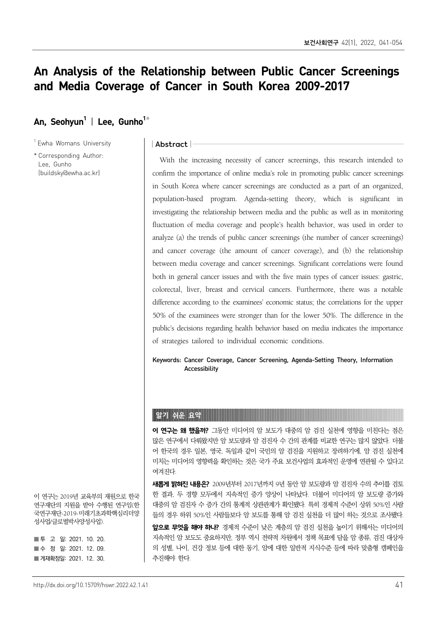# An Analysis of the Relationship between Public Cancer Screenings and Media Coverage of Cancer in South Korea 2009-2017

### An, Seohvun<sup>1</sup> | Lee, Gunho<sup>1\*</sup>

<sup>1</sup> Ewha Womans University

\* Corresponding Author: Lee, Gunho (buildsky@ewha.ac.kr)

#### | Abstract |

With the increasing necessity of cancer screenings, this research intended to confirm the importance of online media's role in promoting public cancer screenings in South Korea where cancer screenings are conducted as a part of an organized, population-based program. Agenda-setting theory, which is significant in investigating the relationship between media and the public as well as in monitoring fluctuation of media coverage and people's health behavior, was used in order to analyze (a) the trends of public cancer screenings (the number of cancer screenings) and cancer coverage (the amount of cancer coverage), and (b) the relationship between media coverage and cancer screenings. Significant correlations were found both in general cancer issues and with the five main types of cancer issues: gastric, colorectal, liver, breast and cervical cancers. Furthermore, there was a notable difference according to the examinees' economic status; the correlations for the upper 50% of the examinees were stronger than for the lower 50%. The difference in the public's decisions regarding health behavior based on media indicates the importance of strategies tailored to individual economic conditions.

Keywords: Cancer Coverage, Cancer Screening, Agenda-Setting Theory, Information Accessibility

#### 알기 쉬운 요약

이 연구는 왜 했을까? 그동안 미디어의 암 보도가 대중의 암 검진 실천에 영향을 미친다는 점은 많은 연구에서 다뤄왔지만 암 보도량과 암 검진자 수 간의 관계를 비교한 연구는 많지 않았다. 더불 어 한국의 경우 일본, 영국, 독일과 같이 국민의 암 검진을 지원하고 장려하기에, 암 검진 실천에 미치는 미디어의 영향력을 확인하는 것은 국가 주요 보건사업의 효과적인 운영에 연관될 수 있다고 여겨진다.

**새롭게 밝혀진 내용은?** 2009년부터 2017년까지 9년 동안 암 보도량과 암 검진자 수의 추이를 검토 한 결과, 두 경향 모두에서 지속적인 증가 양상이 나타났다. 더불어 미디어의 암 보도량 증가와 대중의 암 검진자 수 증가 간의 통계적 상관관계가 확인됐다. 특히 경제적 수준이 상위 50%인 사람 들의 경우 하위 50%인 사람들보다 암 보도를 통해 암 검진 실천을 더 많이 하는 것으로 조사됐다.

앞으로 무엇을 해야 하나? 경제적 수준이 낮은 계층의 암 검진 실천을 높이기 위해서는 미디어의 지속적인 암 보도도 중요하지만, 정부 역시 전략적 차원에서 정책 목표에 담을 암 종류, 검진 대상자 의 성별, 나이, 건강 정보 등에 대한 동기, 암에 대한 일반적 지식수준 등에 따라 맞춤형 캠페인을 추진해야 한다.

이 연구는 2019년 교육부의 재원으로 한국 연구재단의 지원을 받아 수행된 연구임(한 국연구재단-2019-미래기초과학핵심리더양 성사업/글로벌박사양성사업).

■ 투 고 일: 2021. 10. 20. ■수 정 일: 2021. 12. 09. ■ 게재확정일: 2021. 12. 30.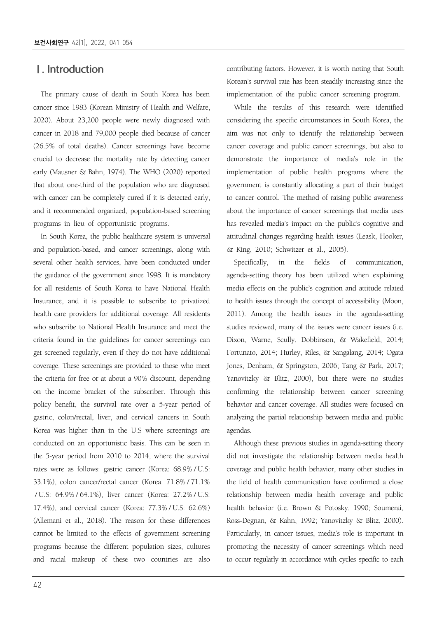### Ⅰ. Introduction

The primary cause of death in South Korea has been cancer since 1983 (Korean Ministry of Health and Welfare, 2020). About 23,200 people were newly diagnosed with cancer in 2018 and 79,000 people died because of cancer (26.5% of total deaths). Cancer screenings have become crucial to decrease the mortality rate by detecting cancer early (Mausner & Bahn, 1974). The WHO (2020) reported that about one-third of the population who are diagnosed with cancer can be completely cured if it is detected early, and it recommended organized, population-based screening programs in lieu of opportunistic programs.

In South Korea, the public healthcare system is universal and population-based, and cancer screenings, along with several other health services, have been conducted under the guidance of the government since 1998. It is mandatory for all residents of South Korea to have National Health Insurance, and it is possible to subscribe to privatized health care providers for additional coverage. All residents who subscribe to National Health Insurance and meet the criteria found in the guidelines for cancer screenings can get screened regularly, even if they do not have additional coverage. These screenings are provided to those who meet the criteria for free or at about a 90% discount, depending on the income bracket of the subscriber. Through this policy benefit, the survival rate over a 5-year period of gastric, colon/rectal, liver, and cervical cancers in South Korea was higher than in the U.S where screenings are conducted on an opportunistic basis. This can be seen in the 5-year period from 2010 to 2014, where the survival rates were as follows: gastric cancer (Korea: 68.9% / U.S: 33.1%), colon cancer/rectal cancer (Korea: 71.8% / 71.1% / U.S: 64.9% / 64.1%), liver cancer (Korea: 27.2% / U.S: 17.4%), and cervical cancer (Korea: 77.3% / U.S: 62.6%) (Allemani et al., 2018). The reason for these differences cannot be limited to the effects of government screening programs because the different population sizes, cultures and racial makeup of these two countries are also

contributing factors. However, it is worth noting that South Korean's survival rate has been steadily increasing since the implementation of the public cancer screening program.

While the results of this research were identified considering the specific circumstances in South Korea, the aim was not only to identify the relationship between cancer coverage and public cancer screenings, but also to demonstrate the importance of media's role in the implementation of public health programs where the government is constantly allocating a part of their budget to cancer control. The method of raising public awareness about the importance of cancer screenings that media uses has revealed media's impact on the public's cognitive and attitudinal changes regarding health issues (Leask, Hooker, & King, 2010; Schwitzer et al., 2005).

Specifically, in the fields of communication, agenda-setting theory has been utilized when explaining media effects on the public's cognition and attitude related to health issues through the concept of accessibility (Moon, 2011). Among the health issues in the agenda-setting studies reviewed, many of the issues were cancer issues (i.e. Dixon, Warne, Scully, Dobbinson, & Wakefield, 2014; Fortunato, 2014; Hurley, Riles, & Sangalang, 2014; Ogata Jones, Denham, & Springston, 2006; Tang & Park, 2017; Yanovitzky & Blitz, 2000), but there were no studies confirming the relationship between cancer screening behavior and cancer coverage. All studies were focused on analyzing the partial relationship between media and public agendas.

Although these previous studies in agenda-setting theory did not investigate the relationship between media health coverage and public health behavior, many other studies in the field of health communication have confirmed a close relationship between media health coverage and public health behavior (i.e. Brown & Potosky, 1990; Soumerai, Ross-Degnan, & Kahn, 1992; Yanovitzky & Blitz, 2000). Particularly, in cancer issues, media's role is important in promoting the necessity of cancer screenings which need to occur regularly in accordance with cycles specific to each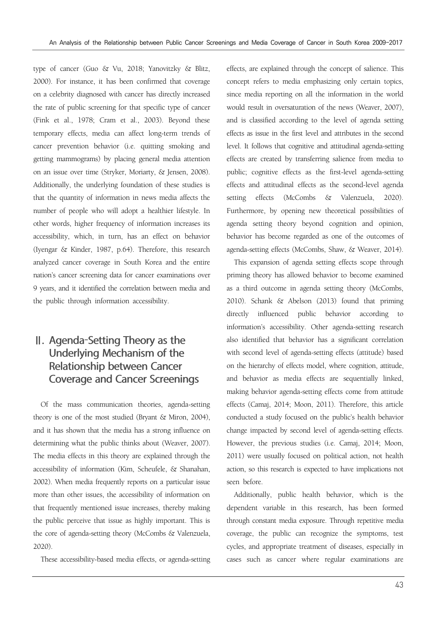type of cancer (Guo & Vu, 2018; Yanovitzky & Blitz, 2000). For instance, it has been confirmed that coverage on a celebrity diagnosed with cancer has directly increased the rate of public screening for that specific type of cancer (Fink et al., 1978; Cram et al., 2003). Beyond these temporary effects, media can affect long-term trends of cancer prevention behavior (i.e. quitting smoking and getting mammograms) by placing general media attention on an issue over time (Stryker, Moriarty, & Jensen, 2008). Additionally, the underlying foundation of these studies is that the quantity of information in news media affects the number of people who will adopt a healthier lifestyle. In other words, higher frequency of information increases its accessibility, which, in turn, has an effect on behavior (Iyengar & Kinder, 1987, p.64). Therefore, this research analyzed cancer coverage in South Korea and the entire nation's cancer screening data for cancer examinations over 9 years, and it identified the correlation between media and the public through information accessibility.

## Ⅱ. Agenda-Setting Theory as the Underlying Mechanism of the Relationship between Cancer Coverage and Cancer Screenings

Of the mass communication theories, agenda-setting theory is one of the most studied (Bryant & Miron, 2004), and it has shown that the media has a strong influence on determining what the public thinks about (Weaver, 2007). The media effects in this theory are explained through the accessibility of information (Kim, Scheufele, & Shanahan, 2002). When media frequently reports on a particular issue more than other issues, the accessibility of information on that frequently mentioned issue increases, thereby making the public perceive that issue as highly important. This is the core of agenda-setting theory (McCombs & Valenzuela, 2020).

These accessibility-based media effects, or agenda-setting

effects, are explained through the concept of salience. This concept refers to media emphasizing only certain topics, since media reporting on all the information in the world would result in oversaturation of the news (Weaver, 2007), and is classified according to the level of agenda setting effects as issue in the first level and attributes in the second level. It follows that cognitive and attitudinal agenda-setting effects are created by transferring salience from media to public; cognitive effects as the first-level agenda-setting effects and attitudinal effects as the second-level agenda setting effects (McCombs & Valenzuela, 2020). Furthermore, by opening new theoretical possibilities of agenda setting theory beyond cognition and opinion, behavior has become regarded as one of the outcomes of agenda-setting effects (McCombs, Shaw, & Weaver, 2014).

This expansion of agenda setting effects scope through priming theory has allowed behavior to become examined as a third outcome in agenda setting theory (McCombs, 2010). Schank & Abelson (2013) found that priming directly influenced public behavior according to information's accessibility. Other agenda-setting research also identified that behavior has a significant correlation with second level of agenda-setting effects (attitude) based on the hierarchy of effects model, where cognition, attitude, and behavior as media effects are sequentially linked, making behavior agenda-setting effects come from attitude effects (Camaj, 2014; Moon, 2011). Therefore, this article conducted a study focused on the public's health behavior change impacted by second level of agenda-setting effects. However, the previous studies (i.e. Camaj, 2014; Moon, 2011) were usually focused on political action, not health action, so this research is expected to have implications not seen before.

Additionally, public health behavior, which is the dependent variable in this research, has been formed through constant media exposure. Through repetitive media coverage, the public can recognize the symptoms, test cycles, and appropriate treatment of diseases, especially in cases such as cancer where regular examinations are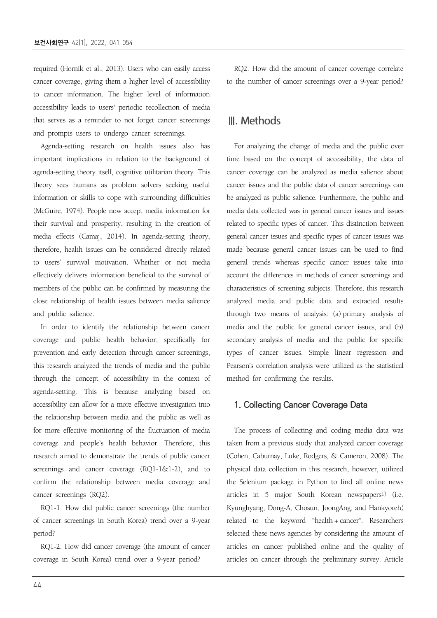required (Hornik et al., 2013). Users who can easily access cancer coverage, giving them a higher level of accessibility to cancer information. The higher level of information accessibility leads to users' periodic recollection of media that serves as a reminder to not forget cancer screenings and prompts users to undergo cancer screenings.

Agenda-setting research on health issues also has important implications in relation to the background of agenda-setting theory itself, cognitive utilitarian theory. This theory sees humans as problem solvers seeking useful information or skills to cope with surrounding difficulties (McGuire, 1974). People now accept media information for their survival and prosperity, resulting in the creation of media effects (Camaj, 2014). In agenda-setting theory, therefore, health issues can be considered directly related to users' survival motivation. Whether or not media effectively delivers information beneficial to the survival of members of the public can be confirmed by measuring the close relationship of health issues between media salience and public salience.

In order to identify the relationship between cancer coverage and public health behavior, specifically for prevention and early detection through cancer screenings, this research analyzed the trends of media and the public through the concept of accessibility in the context of agenda-setting. This is because analyzing based on accessibility can allow for a more effective investigation into the relationship between media and the public as well as for more effective monitoring of the fluctuation of media coverage and people's health behavior. Therefore, this research aimed to demonstrate the trends of public cancer screenings and cancer coverage (RQ1-1&1-2), and to confirm the relationship between media coverage and cancer screenings (RQ2).

RQ1-1. How did public cancer screenings (the number of cancer screenings in South Korea) trend over a 9-year period?

RQ1-2. How did cancer coverage (the amount of cancer coverage in South Korea) trend over a 9-year period?

RQ2. How did the amount of cancer coverage correlate to the number of cancer screenings over a 9-year period?

### Ⅲ. Methods

For analyzing the change of media and the public over time based on the concept of accessibility, the data of cancer coverage can be analyzed as media salience about cancer issues and the public data of cancer screenings can be analyzed as public salience. Furthermore, the public and media data collected was in general cancer issues and issues related to specific types of cancer. This distinction between general cancer issues and specific types of cancer issues was made because general cancer issues can be used to find general trends whereas specific cancer issues take into account the differences in methods of cancer screenings and characteristics of screening subjects. Therefore, this research analyzed media and public data and extracted results through two means of analysis: (a) primary analysis of media and the public for general cancer issues, and (b) secondary analysis of media and the public for specific types of cancer issues. Simple linear regression and Pearson's correlation analysis were utilized as the statistical method for confirming the results.

#### **1. Collecting Cancer Coverage Data**

The process of collecting and coding media data was taken from a previous study that analyzed cancer coverage (Cohen, Caburnay, Luke, Rodgers, & Cameron, 2008). The physical data collection in this research, however, utilized the Selenium package in Python to find all online news articles in 5 major South Korean newspapers<sup>1)</sup> (i.e. Kyunghyang, Dong-A, Chosun, JoongAng, and Hankyoreh) related to the keyword "health + cancer". Researchers selected these news agencies by considering the amount of articles on cancer published online and the quality of articles on cancer through the preliminary survey. Article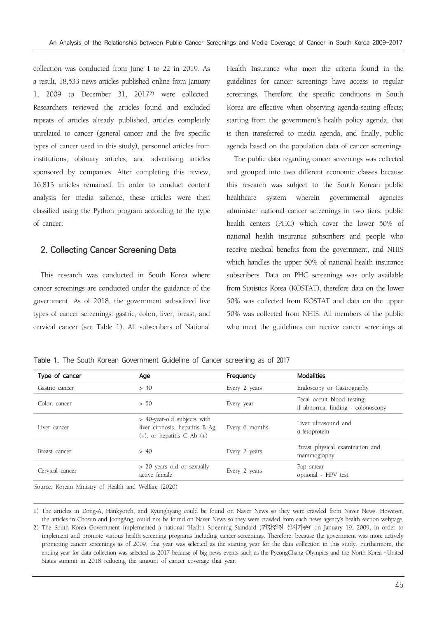collection was conducted from June 1 to 22 in 2019. As a result, 18,533 news articles published online from January 1, 2009 to December 31, 20172) were collected. Researchers reviewed the articles found and excluded repeats of articles already published, articles completely unrelated to cancer (general cancer and the five specific types of cancer used in this study), personnel articles from institutions, obituary articles, and advertising articles sponsored by companies. After completing this review, 16,813 articles remained. In order to conduct content analysis for media salience, these articles were then classified using the Python program according to the type of cancer.

#### **2. Collecting Cancer Screening Data**

This research was conducted in South Korea where cancer screenings are conducted under the guidance of the government. As of 2018, the government subsidized five types of cancer screenings: gastric, colon, liver, breast, and cervical cancer (see Table 1). All subscribers of National Health Insurance who meet the criteria found in the guidelines for cancer screenings have access to regular screenings. Therefore, the specific conditions in South Korea are effective when observing agenda-setting effects; starting from the government's health policy agenda, that is then transferred to media agenda, and finally, public agenda based on the population data of cancer screenings.

The public data regarding cancer screenings was collected and grouped into two different economic classes because this research was subject to the South Korean public healthcare system wherein governmental agencies administer national cancer screenings in two tiers: public health centers (PHC) which cover the lower 50% of national health insurance subscribers and people who receive medical benefits from the government, and NHIS which handles the upper 50% of national health insurance subscribers. Data on PHC screenings was only available from Statistics Korea (KOSTAT), therefore data on the lower 50% was collected from KOSTAT and data on the upper 50% was collected from NHIS. All members of the public who meet the guidelines can receive cancer screenings at

Table 1. The South Korean Government Guideline of Cancer screening as of 2017

| Type of cancer  | Age                                                                                               | Frequency      | <b>Modalities</b><br>Endoscopy or Gastrography                   |  |  |
|-----------------|---------------------------------------------------------------------------------------------------|----------------|------------------------------------------------------------------|--|--|
| Gastric cancer  | > 40                                                                                              | Every 2 years  |                                                                  |  |  |
| Colon cancer    | > 50                                                                                              | Every year     | Fecal occult blood testing;<br>if abnormal finding - colonoscopy |  |  |
| Liver cancer    | > 40-year-old subjects with<br>liver cirrhosis, hepatitis B Ag<br>$(+)$ , or hepatitis C Ab $(+)$ | Every 6 months | Liver ultrasound and<br>a-fetoprotein                            |  |  |
| Breast cancer   | > 40                                                                                              | Every 2 years  | Breast physical examination and<br>mammography                   |  |  |
| Cervical cancer | > 20 years old or sexually<br>active female                                                       |                | Pap smear<br>optional - HPV test                                 |  |  |

Source: Korean Ministry of Health and Welfare (2020)

<sup>1)</sup> The articles in Dong-A, Hankyoreh, and Kyunghyang could be found on Naver News so they were crawled from Naver News. However, the articles in Chosun and JoongAng, could not be found on Naver News so they were crawled from each news agency's health section webpage.

<sup>2)</sup> The South Korea Government implemented a national 'Health Screening Standard (건강검진 실시기준)' on January 19, 2009, in order to implement and promote various health screening programs including cancer screenings. Therefore, because the government was more actively promoting cancer screenings as of 2009, that year was selected as the starting year for the data collection in this study. Furthermore, the ending year for data collection was selected as 2017 because of big news events such as the PyeongChang Olympics and the North Korea–United States summit in 2018 reducing the amount of cancer coverage that year.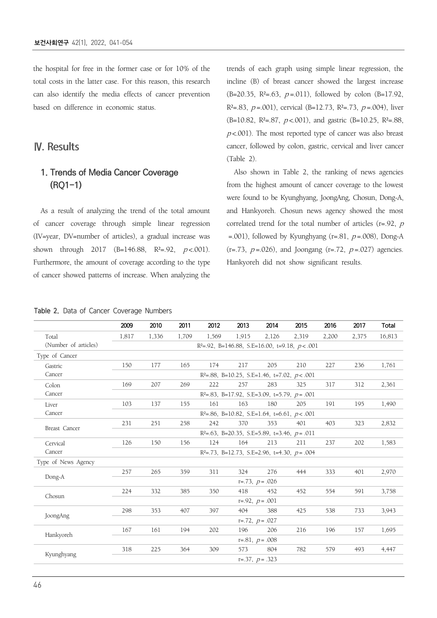the hospital for free in the former case or for 10% of the total costs in the latter case. For this reason, this research can also identify the media effects of cancer prevention based on difference in economic status.

### Ⅳ. Results

### **1. Trends of Media Cancer Coverage (RQ1-1)**

As a result of analyzing the trend of the total amount of cancer coverage through simple linear regression (IV=year, DV=number of articles), a gradual increase was shown through 2017 (B=146.88, R<sup>2</sup>=.92,  $p$  <.001). Furthermore, the amount of coverage according to the type of cancer showed patterns of increase. When analyzing the trends of each graph using simple linear regression, the incline (B) of breast cancer showed the largest increase  $(B=20.35, R<sup>2</sup>=.63, p=.011)$ , followed by colon  $(B=17.92, R<sup>2</sup>)$ R<sup>2</sup>=.83,  $p = .001$ ), cervical (B=12.73, R<sup>2</sup>=.73,  $p = .004$ ), liver (B=10.82, R<sup>2</sup>=.87,  $p$  <.001), and gastric (B=10.25, R<sup>2</sup>=.88,  $p$ <.001). The most reported type of cancer was also breast cancer, followed by colon, gastric, cervical and liver cancer (Table 2).

Also shown in Table 2, the ranking of news agencies from the highest amount of cancer coverage to the lowest were found to be Kyunghyang, JoongAng, Chosun, Dong-A, and Hankyoreh. Chosun news agency showed the most correlated trend for the total number of articles ( $r=0.92$ ,  $p$ =.001), followed by Kyunghyang (r=.81,  $p = .008$ ), Dong-A  $(r=.73, p=.026)$ , and Joongang  $(r=.72, p=.027)$  agencies. Hankyoreh did not show significant results.

#### Table 2. Data of Cancer Coverage Numbers

|                      | 2009                                         | 2010                                                | 2011  | 2012                                                  | 2013  | 2014                                                | 2015  | 2016  | 2017  | Total  |  |  |
|----------------------|----------------------------------------------|-----------------------------------------------------|-------|-------------------------------------------------------|-------|-----------------------------------------------------|-------|-------|-------|--------|--|--|
| Total                | 1,817                                        | 1,336                                               | 1,709 | 1,569                                                 | 1,915 | 2,126                                               | 2,319 | 2,200 | 2,375 | 16,813 |  |  |
| (Number of articles) |                                              |                                                     |       | $R^2 = .92$ , B=146.88, S.E=16.00, t=9.18, $p < .001$ |       |                                                     |       |       |       |        |  |  |
| Type of Cancer       |                                              |                                                     |       |                                                       |       |                                                     |       |       |       |        |  |  |
| Gastric              | 150                                          | 177                                                 | 165   | 174                                                   | 217   | 205                                                 | 210   | 227   | 236   | 1,761  |  |  |
| Cancer               |                                              |                                                     |       |                                                       |       | $R^2 = .88$ , B=10.25, S.E=1.46, t=7.02, $p < .001$ |       |       |       |        |  |  |
| Colon                | 169                                          | 207                                                 | 269   | 222                                                   | 257   | 283                                                 | 325   | 317   | 312   | 2,361  |  |  |
| Cancer               |                                              | $R^2 = .83$ , B=17.92, S.E=3.09, t=5.79, $p = .001$ |       |                                                       |       |                                                     |       |       |       |        |  |  |
| Liver                | 103                                          | 137                                                 | 155   | 161                                                   | 163   | 180                                                 | 205   | 191   | 195   | 1,490  |  |  |
| Cancer               |                                              |                                                     |       |                                                       |       | $R^2 = .86$ , B=10.82, S.E=1.64, t=6.61, $p < .001$ |       |       |       |        |  |  |
|                      | 231                                          | 251                                                 | 258   | 242                                                   | 370   | 353                                                 | 401   | 403   | 323   | 2,832  |  |  |
| Breast Cancer        | $R2=.63$ , B=20.35, S.E=5.89, t=3.46, p=.011 |                                                     |       |                                                       |       |                                                     |       |       |       |        |  |  |
| Cervical             | 126                                          | 150                                                 | 156   | 124                                                   | 164   | 213                                                 | 211   | 237   | 202   | 1,583  |  |  |
| Cancer               |                                              | $R2=.73$ , B=12.73, S.E=2.96, t=4.30, $p=.004$      |       |                                                       |       |                                                     |       |       |       |        |  |  |
| Type of News Agency  |                                              |                                                     |       |                                                       |       |                                                     |       |       |       |        |  |  |
|                      | 257                                          | 265                                                 | 359   | 311                                                   | 324   | 276                                                 | 444   | 333   | 401   | 2,970  |  |  |
| Dong-A               |                                              |                                                     |       |                                                       |       | $r=.73, p=.026$                                     |       |       |       |        |  |  |
|                      | 224                                          | 332                                                 | 385   | 350                                                   | 418   | 452                                                 | 452   | 554   | 591   | 3,758  |  |  |
| Chosun               |                                              |                                                     |       |                                                       |       | $r=.92, p=.001$                                     |       |       |       |        |  |  |
| JoongAng             | 298                                          | 353                                                 | 407   | 397                                                   | 404   | 388                                                 | 425   | 538   | 733   | 3,943  |  |  |
|                      | $r=.72, p=.027$                              |                                                     |       |                                                       |       |                                                     |       |       |       |        |  |  |
|                      | 167                                          | 161                                                 | 194   | 202                                                   | 196   | 206                                                 | 216   | 196   | 157   | 1,695  |  |  |
| Hankyoreh            |                                              |                                                     |       |                                                       |       | $r=.81, p=.008$                                     |       |       |       |        |  |  |
|                      | 318                                          | 225                                                 | 364   | 309                                                   | 573   | 804                                                 | 782   | 579   | 493   | 4,447  |  |  |
| Kyunghyang           |                                              |                                                     |       |                                                       |       | $r=.37, p=.323$                                     |       |       |       |        |  |  |
|                      |                                              |                                                     |       |                                                       |       |                                                     |       |       |       |        |  |  |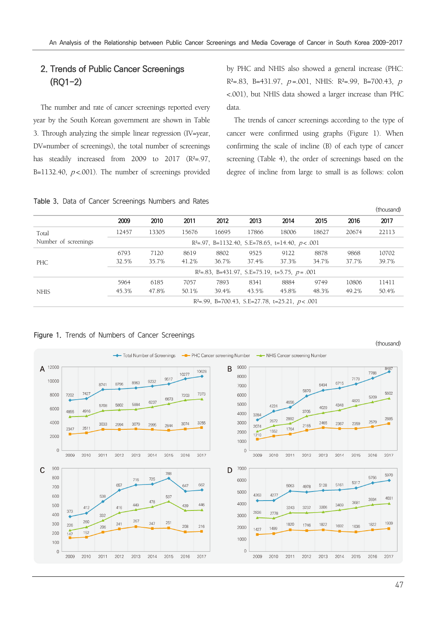### **2. Trends of Public Cancer Screenings (RQ1-2)**

The number and rate of cancer screenings reported every year by the South Korean government are shown in Table 3. Through analyzing the simple linear regression (IV=year, DV=number of screenings), the total number of screenings has steadily increased from 2009 to 2017  $(R<sup>2</sup>=.97,$ B=1132.40,  $p$ <.001). The number of screenings provided by PHC and NHIS also showed a general increase (PHC:  $R^2 = .83$ , B=431.97, p=.001, NHIS:  $R^2 = .99$ , B=700.43, p <.001), but NHIS data showed a larger increase than PHC data.

The trends of cancer screenings according to the type of cancer were confirmed using graphs (Figure 1). When confirming the scale of incline (B) of each type of cancer screening (Table 4), the order of screenings based on the degree of incline from large to small is as follows: colon

 $(t)$ 

Table 3. Data of Cancer Screenings Numbers and Rates

|                      |                                                         |       |       |       |       |                                                   |       |       | (LI IUUSALIU) |  |  |
|----------------------|---------------------------------------------------------|-------|-------|-------|-------|---------------------------------------------------|-------|-------|---------------|--|--|
|                      | 2009                                                    | 2010  | 2011  | 2012  | 2013  | 2014                                              | 2015  | 2016  | 2017          |  |  |
| Total                | 12457                                                   | 13305 | 15676 | 16695 | 17866 | 18006                                             | 18627 | 20674 | 22113         |  |  |
| Number of screenings | $R^2 = .97$ , B=1132.40, S.E=78.65, t=14.40, $p < .001$ |       |       |       |       |                                                   |       |       |               |  |  |
| PHC                  | 6793                                                    | 7120  | 8619  | 8802  | 9525  | 9122                                              | 8878  | 9868  | 10702         |  |  |
|                      | 32.5%                                                   | 35.7% | 41.2% | 36.7% | 37.4% | 37.3%                                             | 34.7% | 37.7% | 39.7%         |  |  |
|                      | $R2=.83$ , B=431.97, S.E=75.19, t=5.75, p=.001          |       |       |       |       |                                                   |       |       |               |  |  |
| <b>NHIS</b>          | 5964                                                    | 6185  | 7057  | 7893  | 8341  | 8884                                              | 9749  | 10806 | 11411         |  |  |
|                      | 45.3%                                                   | 47.8% | 50.1% | 39.4% | 43.5% | 45.8%                                             | 48.3% | 49.2% | 50.4%         |  |  |
|                      |                                                         |       |       |       |       | $R2=.99$ , B=700.43, S.E=27.78, t=25.21, p < .001 |       |       |               |  |  |

#### Figure 1. Trends of Numbers of Cancer Screenings

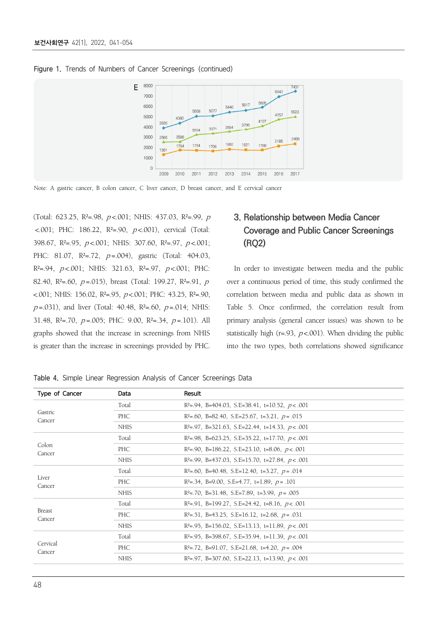

#### Figure 1. Trends of Numbers of Cancer Screenings (continued)

Note: A gastric cancer, B colon cancer, C liver cancer, D breast cancer, and E cervical cancer

(Total: 623.25, R<sup>2</sup>=.98,  $p$ <.001; NHIS: 437.03, R<sup>2</sup>=.99,  $p$  $\leq$  001; PHC: 186.22, R<sup>2</sup>=.90,  $p \leq$  001), cervical (Total: 398.67,  $R^2 = .95$ ,  $p < .001$ ; NHIS: 307.60,  $R^2 = .97$ ,  $p < .001$ ; PHC: 81.07, R<sup>2</sup>=.72, p=.004), gastric (Total: 404.03,  $R^2 = .94$ ,  $p < .001$ ; NHIS: 321.63,  $R^2 = .97$ ,  $p < .001$ ; PHC: 82.40, R<sup>2</sup>=.60,  $p = .015$ ), breast (Total: 199.27, R<sup>2</sup>=.91,  $p$ <.001; NHIS: 156.02, R²=.95, <sup>p</sup> <.001; PHC: 43.25, R²=.90,  $p = .031$ ), and liver (Total: 40.48, R<sup>2</sup>=.60,  $p = .014$ ; NHIS: 31.48,  $R^2 = 70$ ,  $p = .005$ ; PHC: 9.00,  $R^2 = .34$ ,  $p = .101$ ). All graphs showed that the increase in screenings from NHIS is greater than the increase in screenings provided by PHC.

### **3. Relationship between Media Cancer Coverage and Public Cancer Screenings (RQ2)**

In order to investigate between media and the public over a continuous period of time, this study confirmed the correlation between media and public data as shown in Table 5. Once confirmed, the correlation result from primary analysis (general cancer issues) was shown to be statistically high (r=.93,  $p < .001$ ). When dividing the public into the two types, both correlations showed significance

Table 4. Simple Linear Regression Analysis of Cancer Screenings Data

| Type of Cancer     | Data        | Result                                                 |
|--------------------|-------------|--------------------------------------------------------|
| Gastric<br>Cancer  | Total       | $R^2 = .94$ , B=404.03, S.E=38.41, t=10.52, p < .001   |
|                    | PHC         | $R^2 = .60$ , B=82.40, S.E=25.67, t=3.21, $p = .015$   |
|                    | <b>NHIS</b> | $R^2 = .97$ , B=321.63, S.E=22.44, t=14.33, p < .001   |
|                    | Total       | $R^2 = .98$ , B=623.25, S.E=35.22, t=17.70, $p < .001$ |
| Colon<br>Cancer    | PHC         | $R^2 = .90$ , B=186.22, S.E=23.10, t=8.06, $p < .001$  |
|                    | <b>NHIS</b> | $R2=.99$ , B=437.03, S.E=15.70, t=27.84, p<.001        |
|                    | Total       | $R^2 = .60$ , B=40.48, S.E=12.40, t=3.27, $p = .014$   |
| Liver<br>Cancer    | PHC         | $R^2 = .34$ , B=9.00, S.E=4.77, t=1.89, $p = .101$     |
|                    | <b>NHIS</b> | $R^2 = .70$ , B=31.48, S.E=7.89, t=3.99, $p = .005$    |
|                    | Total       | $R^2 = .91$ , B=199.27, S.E=24.42, t=8.16, $p < .001$  |
| Breast<br>Cancer   | PHC         | $R^2 = .51$ , B=43.25, S.E=16.12, t=2.68, $p = .031$   |
|                    | <b>NHIS</b> | $R2=.95$ , B=156.02, S.E=13.13, t=11.89, $p < .001$    |
| Cervical<br>Cancer | Total       | $R^2 = .95$ , B=398.67, S.E=35.94, t=11.39, $p < .001$ |
|                    | PHC         | $R^2 = .72$ , B=91.07, S.E=21.68, t=4.20, $p = .004$   |
|                    | <b>NHIS</b> | $R^2 = .97$ , B=307.60, S.E=22.13, t=13.90, $p < .001$ |
|                    |             |                                                        |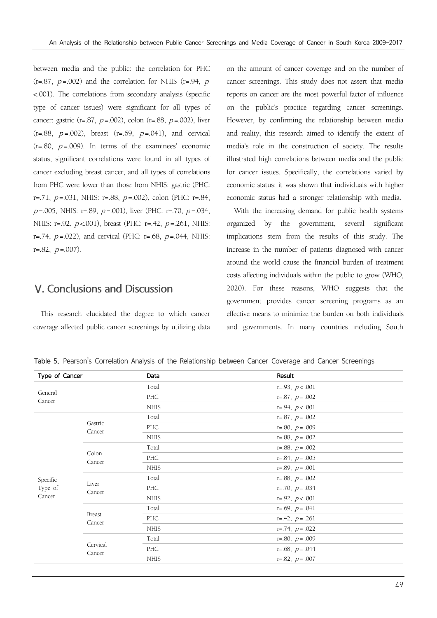between media and the public: the correlation for PHC  $(r=.87, p=.002)$  and the correlation for NHIS  $(r=.94, p)$ <.001). The correlations from secondary analysis (specific type of cancer issues) were significant for all types of cancer: gastric (r=.87,  $p = .002$ ), colon (r=.88,  $p = .002$ ), liver  $(r=.88, p=.002)$ , breast  $(r=.69, p=.041)$ , and cervical  $(r=.80, p=.009)$ . In terms of the examinees' economic status, significant correlations were found in all types of cancer excluding breast cancer, and all types of correlations from PHC were lower than those from NHIS: gastric (PHC: r=.71,  $p = .031$ , NHIS: r=.88,  $p = .002$ ), colon (PHC: r=.84,  $p = .005$ , NHIS: r= $.89$ ,  $p = .001$ ), liver (PHC: r= $.70$ ,  $p = .034$ , NHIS: r=.92, p <.001), breast (PHC: r=.42, p =.261, NHIS: r=.74,  $p = .022$ ), and cervical (PHC: r=.68,  $p = .044$ , NHIS:  $r=.82, p=.007$ .

### Ⅴ. Conclusions and Discussion

This research elucidated the degree to which cancer coverage affected public cancer screenings by utilizing data on the amount of cancer coverage and on the number of cancer screenings. This study does not assert that media reports on cancer are the most powerful factor of influence on the public's practice regarding cancer screenings. However, by confirming the relationship between media and reality, this research aimed to identify the extent of media's role in the construction of society. The results illustrated high correlations between media and the public for cancer issues. Specifically, the correlations varied by economic status; it was shown that individuals with higher economic status had a stronger relationship with media.

With the increasing demand for public health systems organized by the government, several significant implications stem from the results of this study. The increase in the number of patients diagnosed with cancer around the world cause the financial burden of treatment costs affecting individuals within the public to grow (WHO, 2020). For these reasons, WHO suggests that the government provides cancer screening programs as an effective means to minimize the burden on both individuals and governments. In many countries including South

| Table 5. Pearson's Correlation Analysis of the Relationship between Cancer Coverage and Cancer Screenings |  |  |  |  |  |  |  |  |  |
|-----------------------------------------------------------------------------------------------------------|--|--|--|--|--|--|--|--|--|
|-----------------------------------------------------------------------------------------------------------|--|--|--|--|--|--|--|--|--|

| Type of Cancer    |                         | Data        | Result            |
|-------------------|-------------------------|-------------|-------------------|
|                   |                         | Total       | $r=.93, p<.001$   |
| General<br>Cancer |                         | PHC         | $r=.87, p=.002$   |
|                   |                         | <b>NHIS</b> | $r=.94, p < .001$ |
|                   |                         | Total       | $r=.87, p=.002$   |
|                   | Gastric<br>Cancer       | PHC         | $r=.80, p=.009$   |
|                   |                         | <b>NHIS</b> | $r=.88, p=.002$   |
|                   |                         | Total       | $r=.88, p=.002$   |
|                   | Colon<br>Cancer         | PHC         | $r=.84, p=.005$   |
|                   |                         | <b>NHIS</b> | $r=.89, p=.001$   |
| Specific          |                         | Total       | $r=.88, p=.002$   |
| Type of           | Liver<br>Cancer         | PHC         | $r=.70, p=.034$   |
| Cancer            |                         | <b>NHIS</b> | $r=.92, p<.001$   |
|                   |                         | Total       | $r=.69, p=.041$   |
|                   | <b>Breast</b><br>Cancer | PHC         | $r=.42, p=.261$   |
|                   |                         | <b>NHIS</b> | $r=.74, p=.022$   |
|                   |                         | Total       | $r=.80, p=.009$   |
|                   | Cervical<br>Cancer      | PHC         | $r=.68, p=.044$   |
|                   |                         | <b>NHIS</b> | $r=.82, p=.007$   |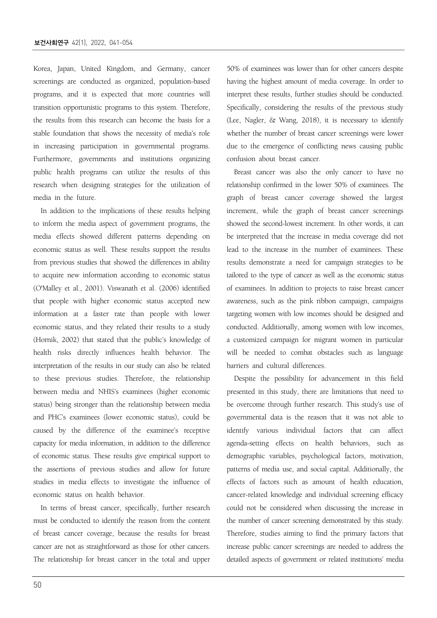Korea, Japan, United Kingdom, and Germany, cancer screenings are conducted as organized, population-based programs, and it is expected that more countries will transition opportunistic programs to this system. Therefore, the results from this research can become the basis for a stable foundation that shows the necessity of media's role in increasing participation in governmental programs. Furthermore, governments and institutions organizing public health programs can utilize the results of this research when designing strategies for the utilization of media in the future.

In addition to the implications of these results helping to inform the media aspect of government programs, the media effects showed different patterns depending on economic status as well. These results support the results from previous studies that showed the differences in ability to acquire new information according to economic status (O'Malley et al., 2001). Viswanath et al. (2006) identified that people with higher economic status accepted new information at a faster rate than people with lower economic status, and they related their results to a study (Hornik, 2002) that stated that the public's knowledge of health risks directly influences health behavior. The interpretation of the results in our study can also be related to these previous studies. Therefore, the relationship between media and NHIS's examinees (higher economic status) being stronger than the relationship between media and PHC's examinees (lower economic status), could be caused by the difference of the examinee's receptive capacity for media information, in addition to the difference of economic status. These results give empirical support to the assertions of previous studies and allow for future studies in media effects to investigate the influence of economic status on health behavior.

In terms of breast cancer, specifically, further research must be conducted to identify the reason from the content of breast cancer coverage, because the results for breast cancer are not as straightforward as those for other cancers. The relationship for breast cancer in the total and upper

50% of examinees was lower than for other cancers despite having the highest amount of media coverage. In order to interpret these results, further studies should be conducted. Specifically, considering the results of the previous study (Lee, Nagler, & Wang, 2018), it is necessary to identify whether the number of breast cancer screenings were lower due to the emergence of conflicting news causing public confusion about breast cancer.

Breast cancer was also the only cancer to have no relationship confirmed in the lower 50% of examinees. The graph of breast cancer coverage showed the largest increment, while the graph of breast cancer screenings showed the second-lowest increment. In other words, it can be interpreted that the increase in media coverage did not lead to the increase in the number of examinees. These results demonstrate a need for campaign strategies to be tailored to the type of cancer as well as the economic status of examinees. In addition to projects to raise breast cancer awareness, such as the pink ribbon campaign, campaigns targeting women with low incomes should be designed and conducted. Additionally, among women with low incomes, a customized campaign for migrant women in particular will be needed to combat obstacles such as language barriers and cultural differences.

Despite the possibility for advancement in this field presented in this study, there are limitations that need to be overcome through further research. This study's use of governmental data is the reason that it was not able to identify various individual factors that can affect agenda-setting effects on health behaviors, such as demographic variables, psychological factors, motivation, patterns of media use, and social capital. Additionally, the effects of factors such as amount of health education, cancer-related knowledge and individual screening efficacy could not be considered when discussing the increase in the number of cancer screening demonstrated by this study. Therefore, studies aiming to find the primary factors that increase public cancer screenings are needed to address the detailed aspects of government or related institutions' media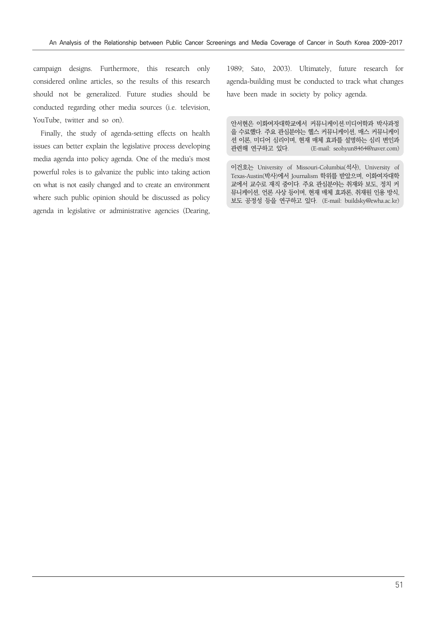campaign designs. Furthermore, this research only considered online articles, so the results of this research should not be generalized. Future studies should be conducted regarding other media sources (i.e. television, YouTube, twitter and so on).

Finally, the study of agenda-setting effects on health issues can better explain the legislative process developing media agenda into policy agenda. One of the media's most powerful roles is to galvanize the public into taking action on what is not easily changed and to create an environment where such public opinion should be discussed as policy agenda in legislative or administrative agencies (Dearing,

1989; Sato, 2003). Ultimately, future research for agenda-building must be conducted to track what changes have been made in society by policy agenda.

안서현은 이화여자대학교에서 커뮤니케이션·미디어학과 박사과정 을 수료했다. 주요 관심분야는 헬스 커뮤니케이션, 매스 커뮤니케이 션 이론, 미디어 심리이며, 현재 매체 효과를 설명하는 심리 변인과 관련해 연구하고 있다. (E-mail: seohyun8464@naver.com)

이건호는 University of Missouri-Columbia(석사), University of Texas-Austin(박사)에서 Journalism 학위를 받았으며, 이화여자대학 교에서 교수로 재직 중이다. 주요 관심분야는 취재와 보도, 정치 커 뮤니케이션, 언론 사상 등이며, 현재 매체 효과론, 취재원 인용 방식, 보도 공정성 등을 연구하고 있다. (E-mail: buildsky@ewha.ac.kr)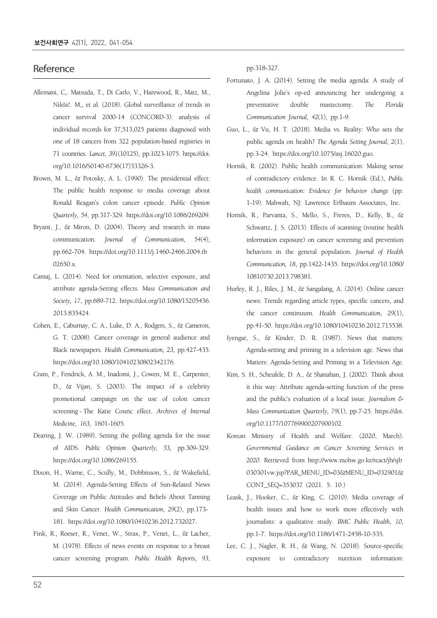#### **Reference**

- Allemani, C,. Matsuda, T., Di Carlo, V., Harewood, R., Matz, M., Nikšić. M,, et al. (2018). Global surveillance of trends in cancer survival 2000-14 (CONCORD-3): analysis of individual records for 37,513,025 patients diagnosed with one of 18 cancers from 322 population-based registries in 71 countries. *Lancet, 391*(10125), pp.1023-1075. https://doi. org/10.1016/S0140-6736(17)33326-3.
- Brown, M. L., & Potosky, A. L. (1990). The presidential effect: The public health response to media coverage about Ronald Reagan's colon cancer episode. *Public Opinion Quarterly, 54*, pp.317-329. https://doi.org/10.1086/269209.
- Bryant, J., & Miron, D. (2004). Theory and research in mass communication. *Journal of Communication, 54*(4), pp.662-704. https://doi.org/10.1111/j.1460-2466.2004.tb 02650.x.
- Camaj, L. (2014). Need for orientation, selective exposure, and attribute agenda-Setting effects. *Mass Communication and Society, 17*, pp.689-712. https://doi.org/10.1080/15205436. 2013.835424.
- Cohen, E., Caburnay, C. A., Luke, D. A., Rodgers, S., & Cameron, G. T. (2008). Cancer coverage in general audience and Black newspapers. *Health Communication, 23*, pp.427-435. https://doi.org/10.1080/10410230802342176.
- Cram, P., Fendrick, A. M., Inadomi, J., Cowen, M. E., Carpenter, D., & Vijan, S. (2003). The impact of a celebrity promotional campaign on the use of colon cancer screening - The Katie Couric effect. *Archives of Internal Medicine, 163,* 1601-1605.
- Dearing, J. W. (1989). Setting the polling agenda for the issue of AIDS. *Public Opinion Quarterly, 53*, pp.309-329. https://doi.org/10.1086/269155.
- Dixon, H., Warne, C., Scully, M., Dobbinson, S., & Wakefield, M. (2014). Agenda-Setting Effects of Sun-Related News Coverage on Public Attitudes and Beliefs About Tanning and Skin Cancer. *Health Communication, 29*(2), pp.173- 181. https://doi.org/10.1080/10410236.2012.732027.
- Fink, R., Roeser, R., Venet, W., Strax, P., Venet, L., & Lacher, M. (1978). Effects of news events on response to a breast cancer screening program. *Public Health Reports, 93*,

pp.318-327.

- Fortunato, J. A. (2014). Setting the media agenda: A study of Angelina Jolie's op-ed announcing her undergoing a preventative double mastectomy. *The Florida Communication Journal, 42*(1), pp.1-9.
- Guo, L., & Vu, H. T. (2018). Media vs. Reality: Who sets the public agenda on health? *The Agenda Setting Journal, 2*(1), pp.3-24. https://doi.org/10.1075/asj.16020.guo.
- Hornik, R. (2002). Public health communication: Making sense of contradictory evidence. In R. C. Hornik (Ed.), *Public health communication: Evidence for behavior change* (pp. 1-19). Mahwah, NJ: Lawrence Erlbaum Associates, Inc.
- Hornik, R., Parvanta, S., Mello, S., Freres, D., Kelly, B., & Schwartz, J. S. (2013). Effects of scanning (routine health information exposure) on cancer screening and prevention behaviors in the general population. *Journal of Health Communication, 18*, pp.1422-1435. https://doi.org/10.1080/ 10810730.2013.798381.
- Hurley, R. J., Riles, J. M., & Sangalang, A. (2014). Online cancer news: Trends regarding article types, specific cancers, and the cancer continuum. *Health Communication, 29*(1), pp.41-50. https://doi.org/10.1080/10410236.2012.715538.
- Iyengar, S., & Kinder, D. R. (1987). News that matters: Agenda-setting and priming in a television age. News that Matters: Agenda-Setting and Priming in a Television Age.
- Kim, S. H., Scheufele, D. A., & Shanahan, J. (2002). Think about it this way: Attribute agenda-setting function of the press and the public's evaluation of a local issue. *Journalism & Mass Communication Quarterly, 79*(1), pp.7-25. https://doi. org/10.1177/107769900207900102.
- Korean Ministry of Health and Welfare. (2020, March). *Governmental Guidance on Cancer Screening Services in 2020*. Retrieved from http://www.mohw.go.kr/react/jb/sjb 030301vw.jsp?PAR\_MENU\_ID=03&MENU\_ID=032901& CONT\_SEQ=353037 (2021. 5. 10.)
- Leask, J., Hooker, C., & King, C. (2010). Media coverage of health issues and how to work more effectively with journalists: a qualitative study. *BMC Public Health, 10*, pp.1-7. https://doi.org/10.1186/1471-2458-10-535.
- Lee, C. J., Nagler, R. H., & Wang, N. (2018). Source-specific exposure to contradictory nutrition information: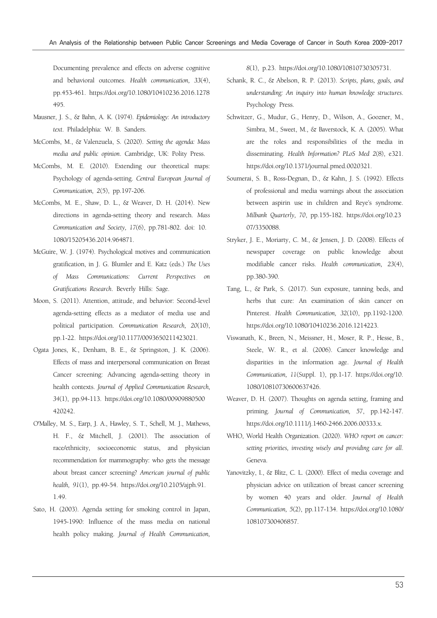Documenting prevalence and effects on adverse cognitive and behavioral outcomes. *Health communication, 33*(4), pp.453-461. https://doi.org/10.1080/10410236.2016.1278 495.

- Mausner, J. S., & Bahn, A. K. (1974). *Epidemiology: An introductory text*. Philadelphia: W. B. Sanders.
- McCombs, M., & Valenzuela, S. (2020). *Setting the agenda: Mass media and public opinion*. Cambridge, UK: Polity Press.
- McCombs, M. E. (2010). Extending our theoretical maps: Psychology of agenda-setting. *Central European Journal of Communication, 2*(5), pp.197-206.
- McCombs, M. E., Shaw, D. L., & Weaver, D. H. (2014). New directions in agenda-setting theory and research. *Mass Communication and Society, 17*(6), pp.781-802. doi: 10. 1080/15205436.2014.964871.
- McGuire, W. J. (1974). Psychological motives and communication gratification, in J. G. Blumler and E. Katz (eds.) *The Uses of Mass Communications: Current Perspectives on Gratifications Research*. Beverly Hills: Sage.
- Moon, S. (2011). Attention, attitude, and behavior: Second-level agenda-setting effects as a mediator of media use and political participation. *Communication Research, 20*(10), pp.1-22. https://doi.org/10.1177/0093650211423021.
- Ogata Jones, K., Denham, B. E., & Springston, J. K. (2006). Effects of mass and interpersonal communication on Breast Cancer screening: Advancing agenda-setting theory in health contexts. *Journal of Applied Communication Research, 34*(1), pp.94-113. https://doi.org/10.1080/00909880500 420242.
- O'Malley, M. S., Earp, J. A., Hawley, S. T., Schell, M. J., Mathews, H. F., & Mitchell, J. (2001). The association of race/ethnicity, socioeconomic status, and physician recommendation for mammography: who gets the message about breast cancer screening? *American journal of public health, 91*(1), pp.49-54. https://doi.org/10.2105/ajph.91. 1.49.
- Sato, H. (2003). Agenda setting for smoking control in Japan, 1945-1990: Influence of the mass media on national health policy making. *Journal of Health Communication,*

*8*(1), p.23. https://doi.org/10.1080/10810730305731.

- Schank, R. C., & Abelson, R. P. (2013). *Scripts, plans, goals, and understanding: An inquiry into human knowledge structures*. Psychology Press.
- Schwitzer, G., Mudur, G., Henry, D., Wilson, A., Goozner, M., Simbra, M., Sweet, M., & Baverstock, K. A. (2005). What are the roles and responsibilities of the media in disseminating. *Health Information? PLoS Med 2*(8), e321. https://doi.org/10.1371/journal.pmed.0020321.
- Soumerai, S. B., Ross-Degnan, D., & Kahn, J. S. (1992). Effects of professional and media warnings about the association between aspirin use in children and Reye's syndrome. *Milbank Quarterly, 70*, pp.155-182. https://doi.org/10.23 07/3350088.
- Stryker, J. E., Moriarty, C. M., & Jensen, J. D. (2008). Effects of newspaper coverage on public knowledge about modifiable cancer risks. *Health communication, 23*(4), pp.380-390.
- Tang, L., & Park, S. (2017). Sun exposure, tanning beds, and herbs that cure: An examination of skin cancer on Pinterest. *Health Communication, 32*(10), pp.1192-1200. https://doi.org/10.1080/10410236.2016.1214223.
- Viswanath, K., Breen, N., Meissner, H., Moser, R. P., Hesse, B., Steele, W. R., et al. (2006). Cancer knowledge and disparities in the information age. *Journal of Health Communication, 11*(Suppl. 1), pp.1-17. https://doi.org/10. 1080/10810730600637426.
- Weaver, D. H. (2007). Thoughts on agenda setting, framing and priming. *Journal of Communication, 57*, pp.142-147. https://doi.org/10.1111/j.1460-2466.2006.00333.x.
- WHO, World Health Organization. (2020). *WHO report on cancer: setting priorities, investing wisely and providing care for all*. Geneva.
- Yanovitzky, I., & Blitz, C. L. (2000). Effect of media coverage and physician advice on utilization of breast cancer screening by women 40 years and older. *Journal of Health Communication, 5*(2), pp.117-134. https://doi.org/10.1080/ 108107300406857.